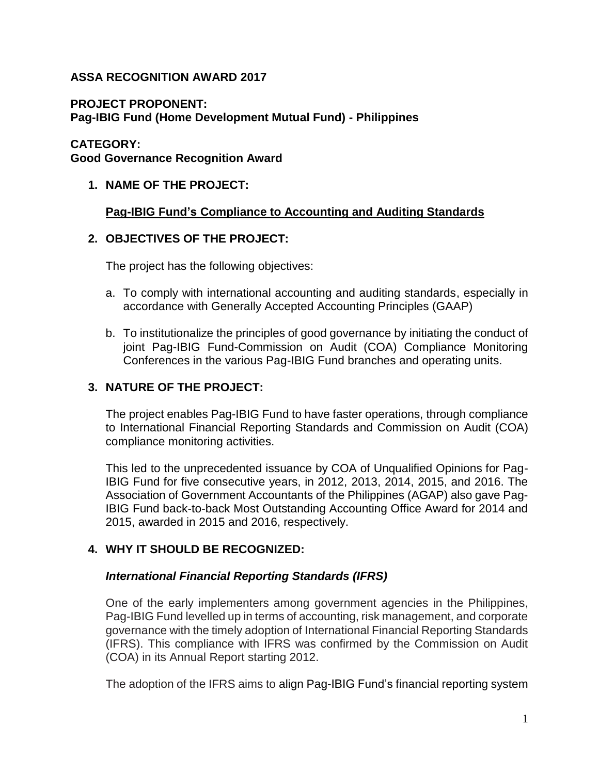# **ASSA RECOGNITION AWARD 2017**

## **PROJECT PROPONENT:**

**Pag-IBIG Fund (Home Development Mutual Fund) - Philippines**

## **CATEGORY:**

**Good Governance Recognition Award**

# **1. NAME OF THE PROJECT:**

# **Pag-IBIG Fund's Compliance to Accounting and Auditing Standards**

# **2. OBJECTIVES OF THE PROJECT:**

The project has the following objectives:

- a. To comply with international accounting and auditing standards, especially in accordance with Generally Accepted Accounting Principles (GAAP)
- b. To institutionalize the principles of good governance by initiating the conduct of joint Pag-IBIG Fund-Commission on Audit (COA) Compliance Monitoring Conferences in the various Pag-IBIG Fund branches and operating units.

# **3. NATURE OF THE PROJECT:**

The project enables Pag-IBIG Fund to have faster operations, through compliance to International Financial Reporting Standards and Commission on Audit (COA) compliance monitoring activities.

This led to the unprecedented issuance by COA of Unqualified Opinions for Pag-IBIG Fund for five consecutive years, in 2012, 2013, 2014, 2015, and 2016. The Association of Government Accountants of the Philippines (AGAP) also gave Pag-IBIG Fund back-to-back Most Outstanding Accounting Office Award for 2014 and 2015, awarded in 2015 and 2016, respectively.

# **4. WHY IT SHOULD BE RECOGNIZED:**

#### *International Financial Reporting Standards (IFRS)*

One of the early implementers among government agencies in the Philippines, Pag-IBIG Fund levelled up in terms of accounting, risk management, and corporate governance with the timely adoption of International Financial Reporting Standards (IFRS). This compliance with IFRS was confirmed by the Commission on Audit (COA) in its Annual Report starting 2012.

The adoption of the IFRS aims to align Pag-IBIG Fund's financial reporting system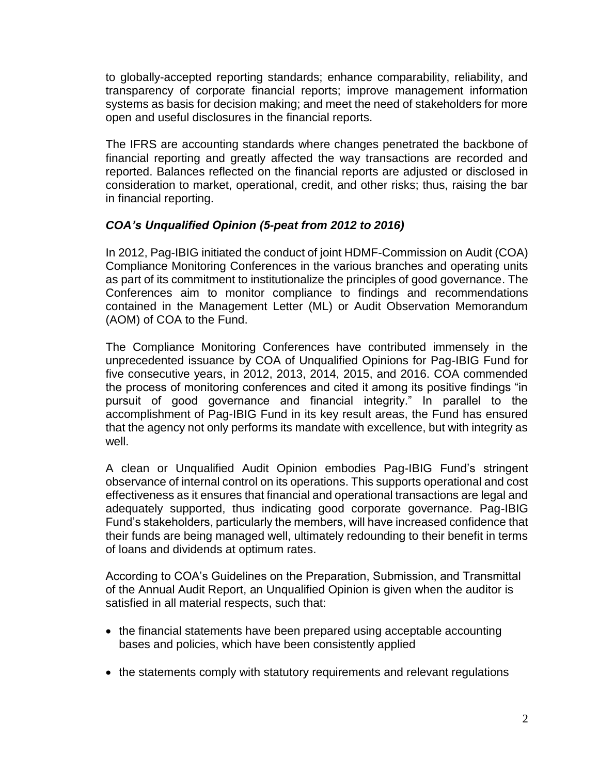to globally-accepted reporting standards; enhance comparability, reliability, and transparency of corporate financial reports; improve management information systems as basis for decision making; and meet the need of stakeholders for more open and useful disclosures in the financial reports.

The IFRS are accounting standards where changes penetrated the backbone of financial reporting and greatly affected the way transactions are recorded and reported. Balances reflected on the financial reports are adjusted or disclosed in consideration to market, operational, credit, and other risks; thus, raising the bar in financial reporting.

# *COA's Unqualified Opinion (5-peat from 2012 to 2016)*

In 2012, Pag-IBIG initiated the conduct of joint HDMF-Commission on Audit (COA) Compliance Monitoring Conferences in the various branches and operating units as part of its commitment to institutionalize the principles of good governance. The Conferences aim to monitor compliance to findings and recommendations contained in the Management Letter (ML) or Audit Observation Memorandum (AOM) of COA to the Fund.

The Compliance Monitoring Conferences have contributed immensely in the unprecedented issuance by COA of Unqualified Opinions for Pag-IBIG Fund for five consecutive years, in 2012, 2013, 2014, 2015, and 2016. COA commended the process of monitoring conferences and cited it among its positive findings "in pursuit of good governance and financial integrity." In parallel to the accomplishment of Pag-IBIG Fund in its key result areas, the Fund has ensured that the agency not only performs its mandate with excellence, but with integrity as well.

A clean or Unqualified Audit Opinion embodies Pag-IBIG Fund's stringent observance of internal control on its operations. This supports operational and cost effectiveness as it ensures that financial and operational transactions are legal and adequately supported, thus indicating good corporate governance. Pag-IBIG Fund's stakeholders, particularly the members, will have increased confidence that their funds are being managed well, ultimately redounding to their benefit in terms of loans and dividends at optimum rates.

According to COA's Guidelines on the Preparation, Submission, and Transmittal of the Annual Audit Report, an Unqualified Opinion is given when the auditor is satisfied in all material respects, such that:

- the financial statements have been prepared using acceptable accounting bases and policies, which have been consistently applied
- the statements comply with statutory requirements and relevant regulations